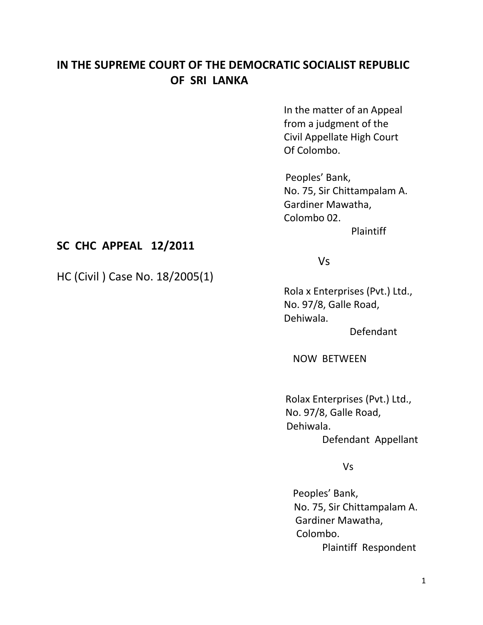## **IN THE SUPREME COURT OF THE DEMOCRATIC SOCIALIST REPUBLIC OF SRI LANKA**

In the matter of an Appeal from a judgment of the Civil Appellate High Court Of Colombo.

 Peoples' Bank, No. 75, Sir Chittampalam A. Gardiner Mawatha, Colombo 02.

Plaintiff

## **SC CHC APPEAL 12/2011**

HC (Civil ) Case No. 18/2005(1)

## Vs

Rola x Enterprises (Pvt.) Ltd., No. 97/8, Galle Road, Dehiwala.

Defendant

NOW BETWEEN

 Rolax Enterprises (Pvt.) Ltd., No. 97/8, Galle Road, Dehiwala. Defendant Appellant

Vs

 Peoples' Bank, No. 75, Sir Chittampalam A. Gardiner Mawatha, Colombo. Plaintiff Respondent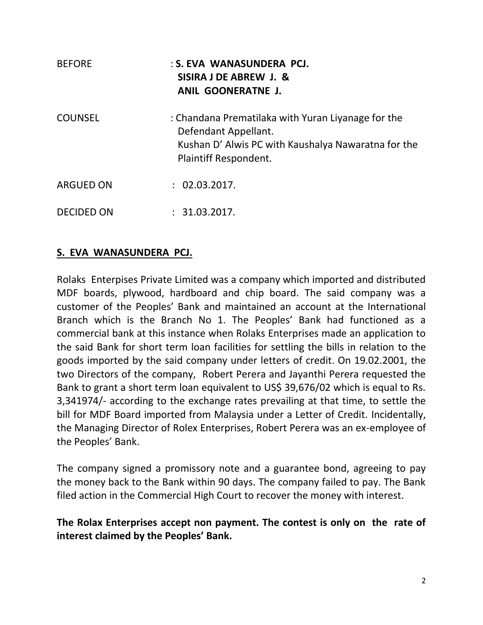| <b>BEFORE</b>     | : S. EVA WANASUNDERA PCJ.<br>SISIRA J DE ABREW J. &<br>ANIL GOONERATNE J.                                                                                  |
|-------------------|------------------------------------------------------------------------------------------------------------------------------------------------------------|
| <b>COUNSEL</b>    | : Chandana Prematilaka with Yuran Liyanage for the<br>Defendant Appellant.<br>Kushan D' Alwis PC with Kaushalya Nawaratna for the<br>Plaintiff Respondent. |
| <b>ARGUED ON</b>  | : 02.03.2017.                                                                                                                                              |
| <b>DECIDED ON</b> | : 31.03.2017.                                                                                                                                              |

## **S. EVA WANASUNDERA PCJ.**

Rolaks Enterpises Private Limited was a company which imported and distributed MDF boards, plywood, hardboard and chip board. The said company was a customer of the Peoples' Bank and maintained an account at the International Branch which is the Branch No 1. The Peoples' Bank had functioned as a commercial bank at this instance when Rolaks Enterprises made an application to the said Bank for short term loan facilities for settling the bills in relation to the goods imported by the said company under letters of credit. On 19.02.2001, the two Directors of the company, Robert Perera and Jayanthi Perera requested the Bank to grant a short term loan equivalent to US\$ 39,676/02 which is equal to Rs. 3,341974/- according to the exchange rates prevailing at that time, to settle the bill for MDF Board imported from Malaysia under a Letter of Credit. Incidentally, the Managing Director of Rolex Enterprises, Robert Perera was an ex-employee of the Peoples' Bank.

The company signed a promissory note and a guarantee bond, agreeing to pay the money back to the Bank within 90 days. The company failed to pay. The Bank filed action in the Commercial High Court to recover the money with interest.

**The Rolax Enterprises accept non payment. The contest is only on the rate of interest claimed by the Peoples' Bank.**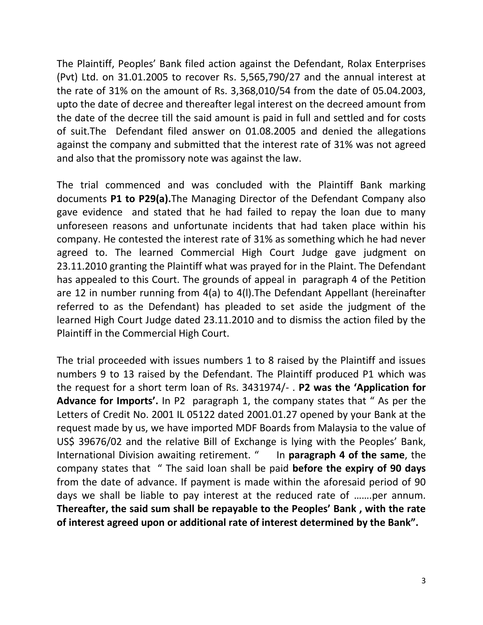The Plaintiff, Peoples' Bank filed action against the Defendant, Rolax Enterprises (Pvt) Ltd. on 31.01.2005 to recover Rs. 5,565,790/27 and the annual interest at the rate of 31% on the amount of Rs. 3,368,010/54 from the date of 05.04.2003, upto the date of decree and thereafter legal interest on the decreed amount from the date of the decree till the said amount is paid in full and settled and for costs of suit.The Defendant filed answer on 01.08.2005 and denied the allegations against the company and submitted that the interest rate of 31% was not agreed and also that the promissory note was against the law.

The trial commenced and was concluded with the Plaintiff Bank marking documents **P1 to P29(a).**The Managing Director of the Defendant Company also gave evidence and stated that he had failed to repay the loan due to many unforeseen reasons and unfortunate incidents that had taken place within his company. He contested the interest rate of 31% as something which he had never agreed to. The learned Commercial High Court Judge gave judgment on 23.11.2010 granting the Plaintiff what was prayed for in the Plaint. The Defendant has appealed to this Court. The grounds of appeal in paragraph 4 of the Petition are 12 in number running from 4(a) to 4(l).The Defendant Appellant (hereinafter referred to as the Defendant) has pleaded to set aside the judgment of the learned High Court Judge dated 23.11.2010 and to dismiss the action filed by the Plaintiff in the Commercial High Court.

The trial proceeded with issues numbers 1 to 8 raised by the Plaintiff and issues numbers 9 to 13 raised by the Defendant. The Plaintiff produced P1 which was the request for a short term loan of Rs. 3431974/- . **P2 was the 'Application for Advance for Imports'.** In P2 paragraph 1, the company states that " As per the Letters of Credit No. 2001 IL 05122 dated 2001.01.27 opened by your Bank at the request made by us, we have imported MDF Boards from Malaysia to the value of US\$ 39676/02 and the relative Bill of Exchange is lying with the Peoples' Bank, International Division awaiting retirement. " In **paragraph 4 of the same**, the company states that " The said loan shall be paid **before the expiry of 90 days** from the date of advance. If payment is made within the aforesaid period of 90 days we shall be liable to pay interest at the reduced rate of …….per annum. **Thereafter, the said sum shall be repayable to the Peoples' Bank , with the rate of interest agreed upon or additional rate of interest determined by the Bank".**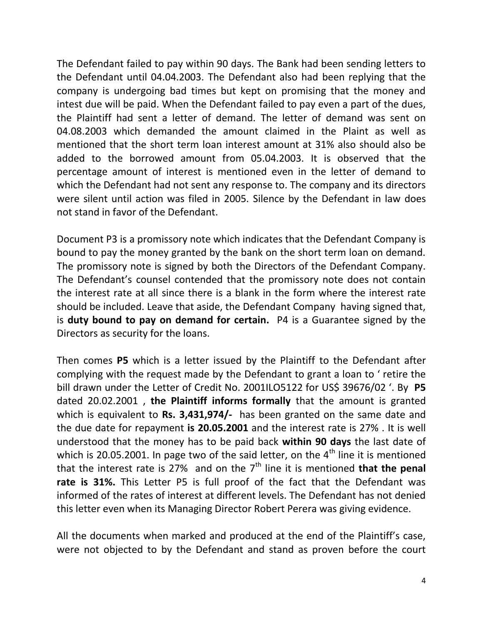The Defendant failed to pay within 90 days. The Bank had been sending letters to the Defendant until 04.04.2003. The Defendant also had been replying that the company is undergoing bad times but kept on promising that the money and intest due will be paid. When the Defendant failed to pay even a part of the dues, the Plaintiff had sent a letter of demand. The letter of demand was sent on 04.08.2003 which demanded the amount claimed in the Plaint as well as mentioned that the short term loan interest amount at 31% also should also be added to the borrowed amount from 05.04.2003. It is observed that the percentage amount of interest is mentioned even in the letter of demand to which the Defendant had not sent any response to. The company and its directors were silent until action was filed in 2005. Silence by the Defendant in law does not stand in favor of the Defendant.

Document P3 is a promissory note which indicates that the Defendant Company is bound to pay the money granted by the bank on the short term loan on demand. The promissory note is signed by both the Directors of the Defendant Company. The Defendant's counsel contended that the promissory note does not contain the interest rate at all since there is a blank in the form where the interest rate should be included. Leave that aside, the Defendant Company having signed that, is **duty bound to pay on demand for certain.** P4 is a Guarantee signed by the Directors as security for the loans.

Then comes **P5** which is a letter issued by the Plaintiff to the Defendant after complying with the request made by the Defendant to grant a loan to ' retire the bill drawn under the Letter of Credit No. 2001ILO5122 for US\$ 39676/02 '. By **P5**  dated 20.02.2001 , **the Plaintiff informs formally** that the amount is granted which is equivalent to **Rs. 3,431,974/-** has been granted on the same date and the due date for repayment **is 20.05.2001** and the interest rate is 27% . It is well understood that the money has to be paid back **within 90 days** the last date of which is 20.05.2001. In page two of the said letter, on the  $4<sup>th</sup>$  line it is mentioned that the interest rate is 27% and on the  $7<sup>th</sup>$  line it is mentioned **that the penal rate is 31%.** This Letter P5 is full proof of the fact that the Defendant was informed of the rates of interest at different levels. The Defendant has not denied this letter even when its Managing Director Robert Perera was giving evidence.

All the documents when marked and produced at the end of the Plaintiff's case, were not objected to by the Defendant and stand as proven before the court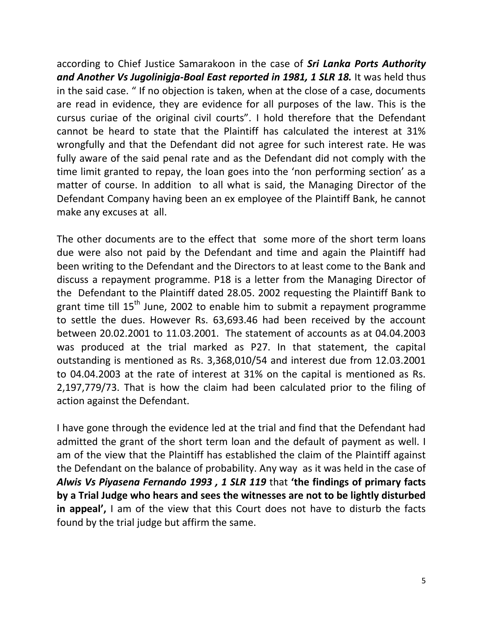according to Chief Justice Samarakoon in the case of *Sri Lanka Ports Authority*  and Another Vs Jugolinigja-Boal East reported in 1981, 1 SLR 18. It was held thus in the said case. " If no objection is taken, when at the close of a case, documents are read in evidence, they are evidence for all purposes of the law. This is the cursus curiae of the original civil courts". I hold therefore that the Defendant cannot be heard to state that the Plaintiff has calculated the interest at 31% wrongfully and that the Defendant did not agree for such interest rate. He was fully aware of the said penal rate and as the Defendant did not comply with the time limit granted to repay, the loan goes into the 'non performing section' as a matter of course. In addition to all what is said, the Managing Director of the Defendant Company having been an ex employee of the Plaintiff Bank, he cannot make any excuses at all.

The other documents are to the effect that some more of the short term loans due were also not paid by the Defendant and time and again the Plaintiff had been writing to the Defendant and the Directors to at least come to the Bank and discuss a repayment programme. P18 is a letter from the Managing Director of the Defendant to the Plaintiff dated 28.05. 2002 requesting the Plaintiff Bank to grant time till 15<sup>th</sup> June, 2002 to enable him to submit a repayment programme to settle the dues. However Rs. 63,693.46 had been received by the account between 20.02.2001 to 11.03.2001. The statement of accounts as at 04.04.2003 was produced at the trial marked as P27. In that statement, the capital outstanding is mentioned as Rs. 3,368,010/54 and interest due from 12.03.2001 to 04.04.2003 at the rate of interest at 31% on the capital is mentioned as Rs. 2,197,779/73. That is how the claim had been calculated prior to the filing of action against the Defendant.

I have gone through the evidence led at the trial and find that the Defendant had admitted the grant of the short term loan and the default of payment as well. I am of the view that the Plaintiff has established the claim of the Plaintiff against the Defendant on the balance of probability. Any way as it was held in the case of *Alwis Vs Piyasena Fernando 1993 , 1 SLR 119* that **'the findings of primary facts by a Trial Judge who hears and sees the witnesses are not to be lightly disturbed in appeal',** I am of the view that this Court does not have to disturb the facts found by the trial judge but affirm the same.